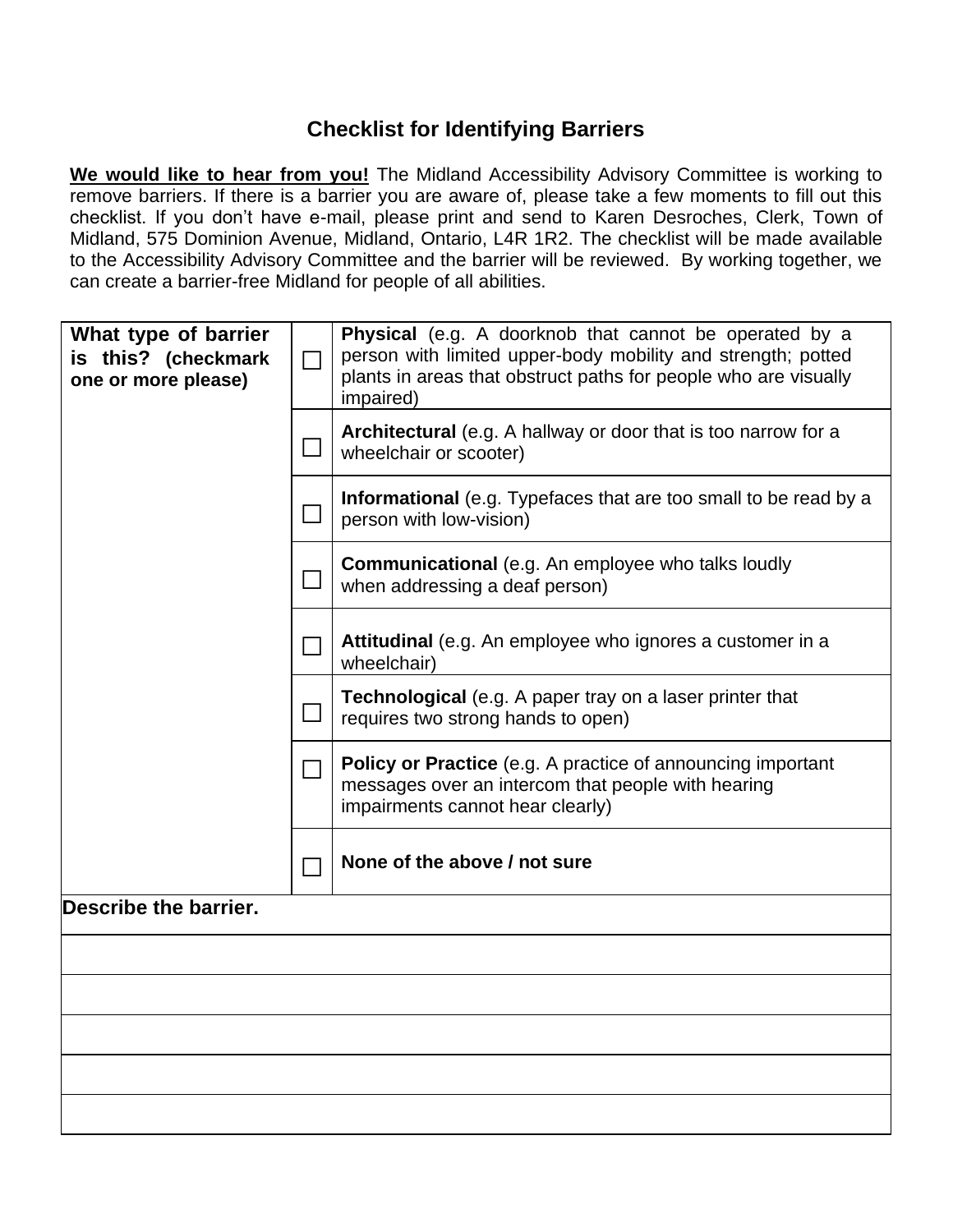## **Checklist for Identifying Barriers**

**We would like to hear from you!** The Midland Accessibility Advisory Committee is working to remove barriers. If there is a barrier you are aware of, please take a few moments to fill out this checklist. If you don't have e-mail, please print and send to Karen Desroches, Clerk, Town of Midland, 575 Dominion Avenue, Midland, Ontario, L4R 1R2. The checklist will be made available to the Accessibility Advisory Committee and the barrier will be reviewed. By working together, we can create a barrier-free Midland for people of all abilities.

| What type of barrier<br>is this? (checkmark<br>one or more please) | П                           | <b>Physical</b> (e.g. A doorknob that cannot be operated by a<br>person with limited upper-body mobility and strength; potted<br>plants in areas that obstruct paths for people who are visually<br>impaired) |
|--------------------------------------------------------------------|-----------------------------|---------------------------------------------------------------------------------------------------------------------------------------------------------------------------------------------------------------|
|                                                                    |                             | Architectural (e.g. A hallway or door that is too narrow for a<br>wheelchair or scooter)                                                                                                                      |
|                                                                    |                             | Informational (e.g. Typefaces that are too small to be read by a<br>person with low-vision)                                                                                                                   |
|                                                                    |                             | <b>Communicational</b> (e.g. An employee who talks loudly<br>when addressing a deaf person)                                                                                                                   |
|                                                                    |                             | Attitudinal (e.g. An employee who ignores a customer in a<br>wheelchair)                                                                                                                                      |
|                                                                    |                             | <b>Technological</b> (e.g. A paper tray on a laser printer that<br>requires two strong hands to open)                                                                                                         |
|                                                                    | $\blacksquare$              | <b>Policy or Practice</b> (e.g. A practice of announcing important<br>messages over an intercom that people with hearing<br>impairments cannot hear clearly)                                                  |
|                                                                    | $\mathcal{L}_{\mathcal{A}}$ | None of the above / not sure                                                                                                                                                                                  |
| Describe the barrier.                                              |                             |                                                                                                                                                                                                               |